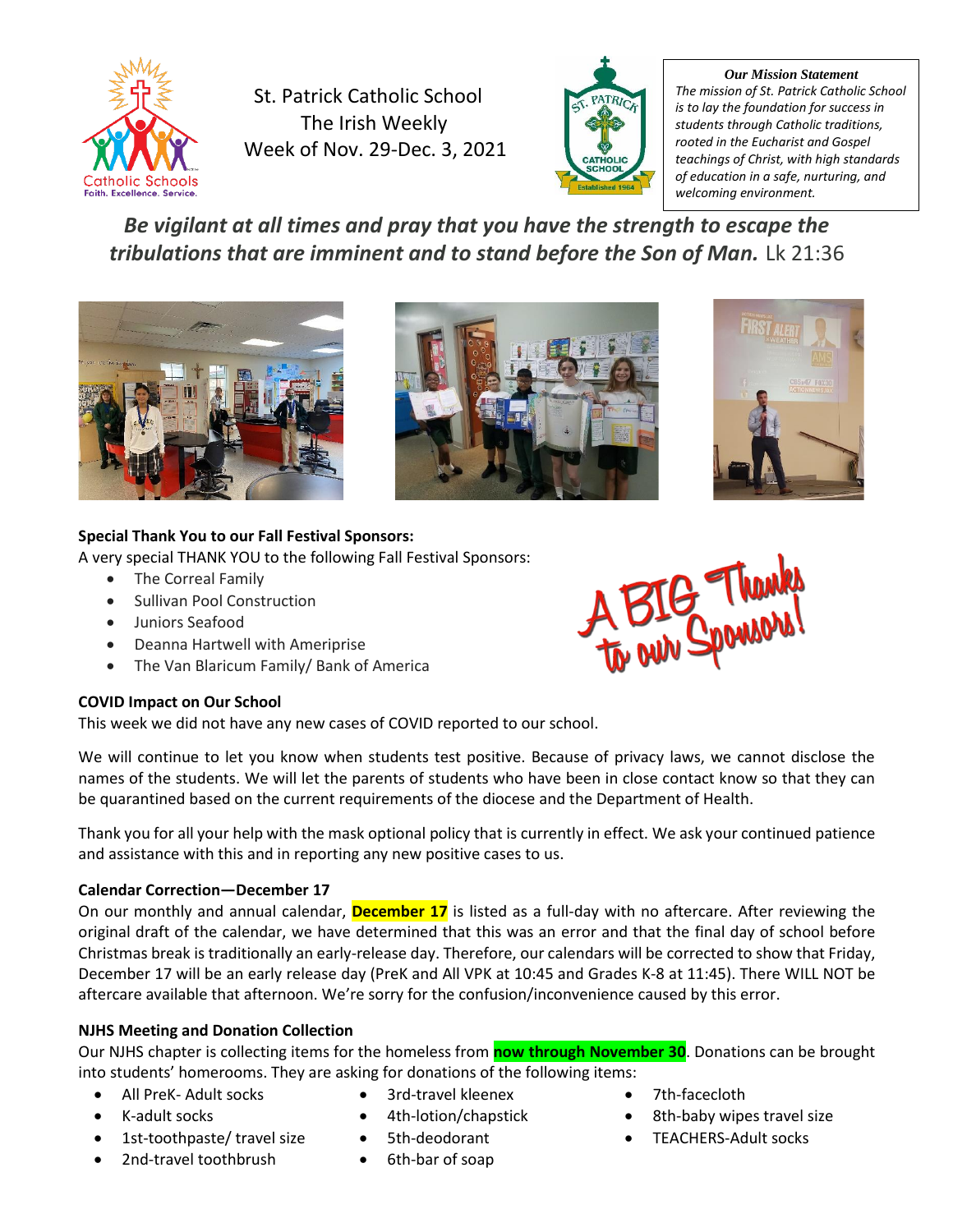

St. Patrick Catholic School The Irish Weekly Week of Nov. 29-Dec. 3, 2021



*Our Mission Statement The mission of St. Patrick Catholic School is to lay the foundation for success in students through Catholic traditions, rooted in the Eucharist and Gospel teachings of Christ, with high standards of education in a safe, nurturing, and welcoming environment.*

# *Be vigilant at all times and pray that you have the strength to escape the tribulations that are imminent and to stand before the Son of Man.* Lk 21:36







# **Special Thank You to our Fall Festival Sponsors:**

A very special THANK YOU to the following Fall Festival Sponsors:

- The Correal Family
- Sullivan Pool Construction
- Juniors Seafood
- Deanna Hartwell with Ameriprise
- The Van Blaricum Family/ Bank of America

# **COVID Impact on Our School**

This week we did not have any new cases of COVID reported to our school.

We will continue to let you know when students test positive. Because of privacy laws, we cannot disclose the names of the students. We will let the parents of students who have been in close contact know so that they can be quarantined based on the current requirements of the diocese and the Department of Health.

Thank you for all your help with the mask optional policy that is currently in effect. We ask your continued patience and assistance with this and in reporting any new positive cases to us.

# **Calendar Correction—December 17**

On our monthly and annual calendar, **December 17** is listed as a full-day with no aftercare. After reviewing the original draft of the calendar, we have determined that this was an error and that the final day of school before Christmas break is traditionally an early-release day. Therefore, our calendars will be corrected to show that Friday, December 17 will be an early release day (PreK and All VPK at 10:45 and Grades K-8 at 11:45). There WILL NOT be aftercare available that afternoon. We're sorry for the confusion/inconvenience caused by this error.

# **NJHS Meeting and Donation Collection**

Our NJHS chapter is collecting items for the homeless from **now through November 30**. Donations can be brought into students' homerooms. They are asking for donations of the following items:

- All PreK- Adult socks
- 3rd-travel kleenex • 4th-lotion/chapstick
- K-adult socks • 1st-toothpaste/ travel size
	- 5th-deodorant
		- 6th-bar of soap
- 7th-facecloth
- 8th-baby wipes travel size
- TEACHERS-Adult socks

• 2nd-travel toothbrush

A BIG Thanks